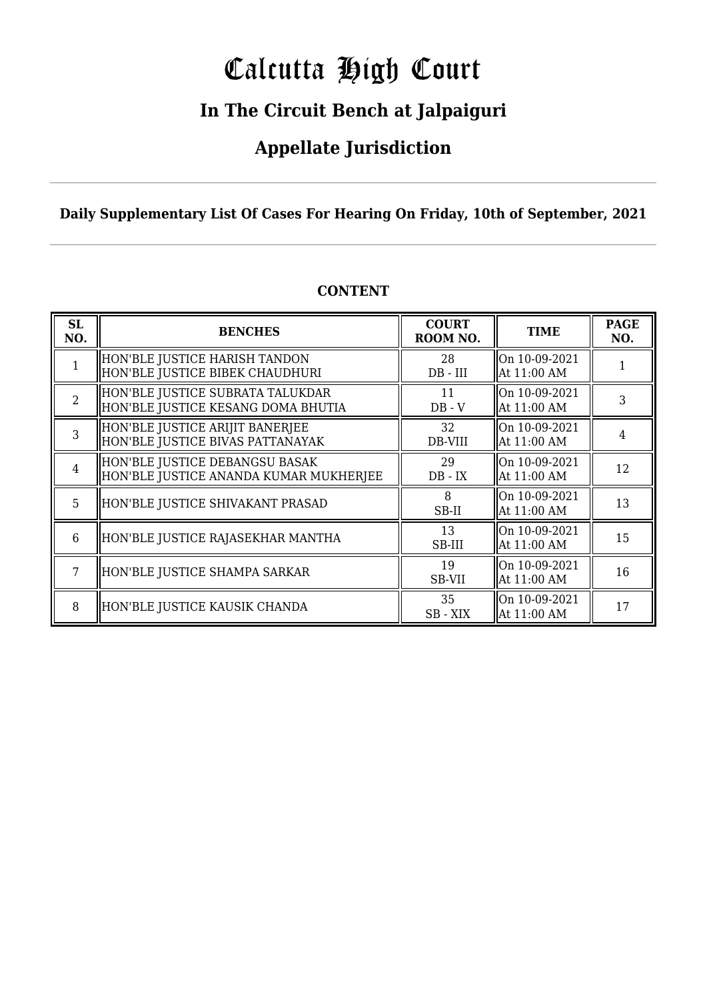# Calcutta High Court

### **In The Circuit Bench at Jalpaiguri**

### **Appellate Jurisdiction**

**Daily Supplementary List Of Cases For Hearing On Friday, 10th of September, 2021**

| <b>SL</b><br>NO. | <b>BENCHES</b>                                                           | <b>COURT</b><br>ROOM NO. | <b>TIME</b>                  | <b>PAGE</b><br>NO. |
|------------------|--------------------------------------------------------------------------|--------------------------|------------------------------|--------------------|
|                  | HON'BLE JUSTICE HARISH TANDON<br>HON'BLE JUSTICE BIBEK CHAUDHURI         | 28<br>$DB$ - $III$       | On 10-09-2021<br>At 11:00 AM |                    |
| $\overline{2}$   | HON'BLE JUSTICE SUBRATA TALUKDAR<br>HON'BLE JUSTICE KESANG DOMA BHUTIA   | 11<br>$DB - V$           | On 10-09-2021<br>At 11:00 AM | 3                  |
| 3                | HON'BLE JUSTICE ARIJIT BANERJEE<br>HON'BLE JUSTICE BIVAS PATTANAYAK      | 32<br>DB-VIII            | On 10-09-2021<br>At 11:00 AM | 4                  |
| $\overline{4}$   | HON'BLE JUSTICE DEBANGSU BASAK<br>HON'BLE JUSTICE ANANDA KUMAR MUKHERJEE | 29<br>$DB - IX$          | On 10-09-2021<br>At 11:00 AM | 12                 |
| 5                | HON'BLE JUSTICE SHIVAKANT PRASAD                                         | 8<br>SB-II               | On 10-09-2021<br>At 11:00 AM | 13                 |
| 6                | HON'BLE JUSTICE RAJASEKHAR MANTHA                                        | 13<br>SB-III             | On 10-09-2021<br>At 11:00 AM | 15                 |
|                  | HON'BLE JUSTICE SHAMPA SARKAR                                            | 19<br>SB-VII             | On 10-09-2021<br>At 11:00 AM | 16                 |
| 8                | HON'BLE JUSTICE KAUSIK CHANDA                                            | 35<br>SB - XIX           | On 10-09-2021<br>At 11:00 AM | 17                 |

#### **CONTENT**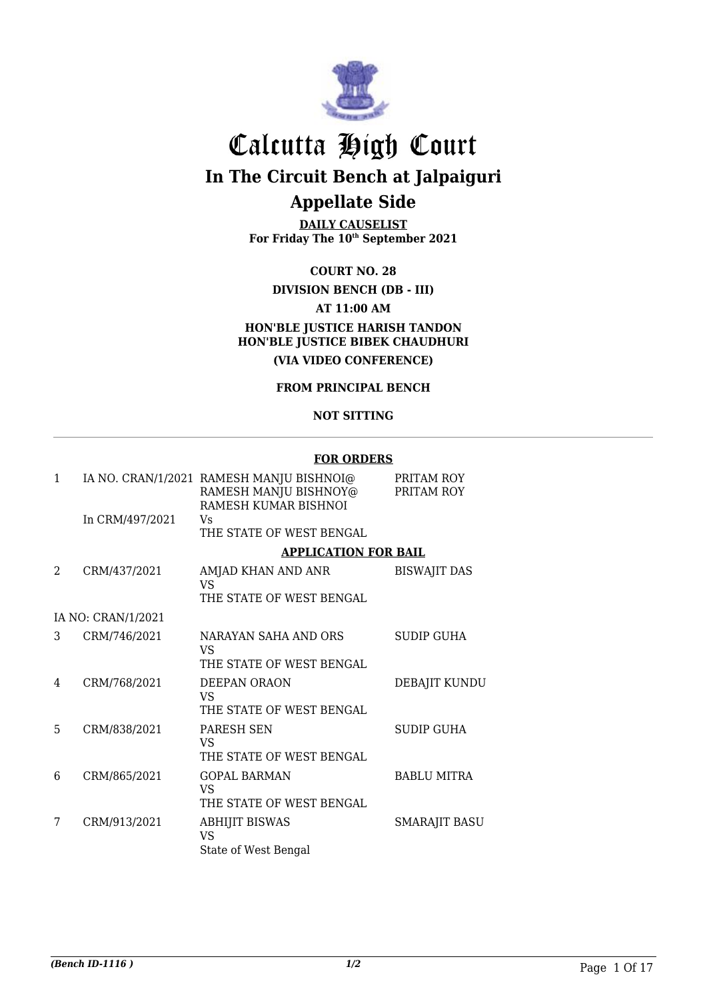

## Calcutta High Court **In The Circuit Bench at Jalpaiguri**

### **Appellate Side**

**DAILY CAUSELIST For Friday The 10th September 2021**

#### **COURT NO. 28**

**DIVISION BENCH (DB - III) AT 11:00 AM HON'BLE JUSTICE HARISH TANDON HON'BLE JUSTICE BIBEK CHAUDHURI (VIA VIDEO CONFERENCE)**

#### **FROM PRINCIPAL BENCH**

#### **NOT SITTING**

#### **FOR ORDERS**

|                    | RAMESH MANJU BISHNOY@<br>RAMESH KUMAR BISHNOI | PRITAM ROY<br>PRITAM ROY                                                                                                                                                                                 |
|--------------------|-----------------------------------------------|----------------------------------------------------------------------------------------------------------------------------------------------------------------------------------------------------------|
| In CRM/497/2021    | Vs<br>THE STATE OF WEST BENGAL                |                                                                                                                                                                                                          |
|                    |                                               |                                                                                                                                                                                                          |
| CRM/437/2021       | AMJAD KHAN AND ANR<br>VS                      | <b>BISWAJIT DAS</b>                                                                                                                                                                                      |
|                    | THE STATE OF WEST BENGAL                      |                                                                                                                                                                                                          |
| IA NO: CRAN/1/2021 |                                               |                                                                                                                                                                                                          |
| CRM/746/2021       | NARAYAN SAHA AND ORS<br>VS.                   | <b>SUDIP GUHA</b>                                                                                                                                                                                        |
|                    |                                               |                                                                                                                                                                                                          |
| CRM/768/2021       | DEEPAN ORAON<br>VS.                           | DEBAJIT KUNDU                                                                                                                                                                                            |
|                    |                                               |                                                                                                                                                                                                          |
|                    | VS.<br>THE STATE OF WEST BENGAL               | <b>SUDIP GUHA</b>                                                                                                                                                                                        |
| CRM/865/2021       | <b>GOPAL BARMAN</b><br>VS.                    | <b>BABLU MITRA</b>                                                                                                                                                                                       |
|                    |                                               |                                                                                                                                                                                                          |
| CRM/913/2021       | <b>ABHIJIT BISWAS</b><br><b>VS</b>            | <b>SMARAJIT BASU</b>                                                                                                                                                                                     |
|                    | CRM/838/2021                                  | IA NO. CRAN/1/2021 RAMESH MANJU BISHNOI@<br><b>APPLICATION FOR BAIL</b><br>THE STATE OF WEST BENGAL<br>THE STATE OF WEST BENGAL<br><b>PARESH SEN</b><br>THE STATE OF WEST BENGAL<br>State of West Bengal |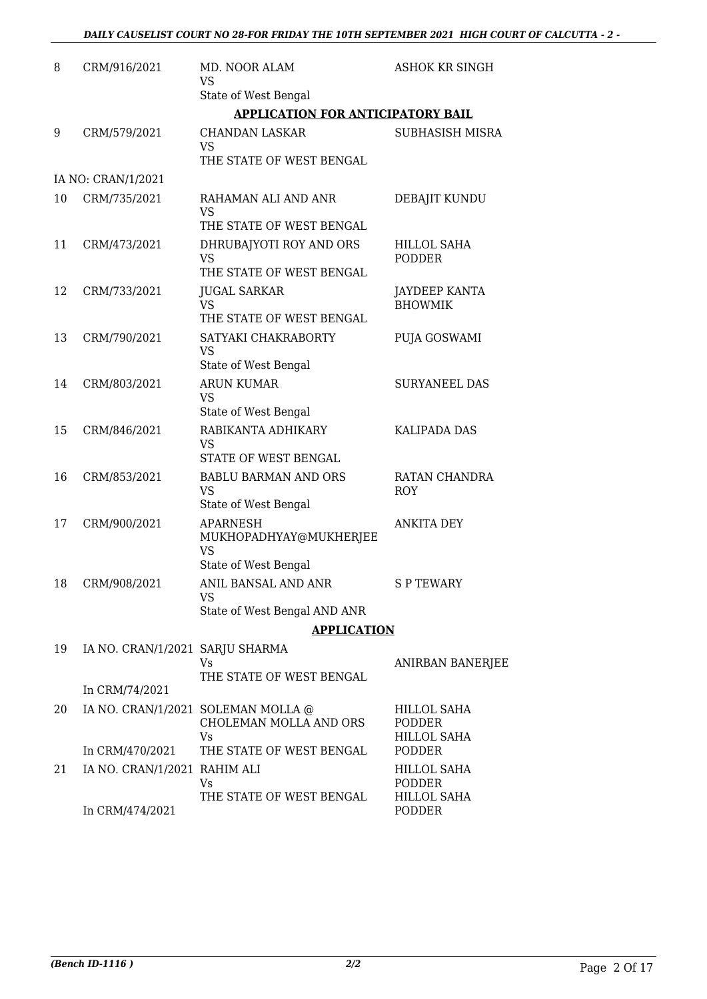| 8  | CRM/916/2021                    | MD. NOOR ALAM<br>VS                                     | <b>ASHOK KR SINGH</b>                  |
|----|---------------------------------|---------------------------------------------------------|----------------------------------------|
|    |                                 | State of West Bengal                                    |                                        |
|    |                                 | <b>APPLICATION FOR ANTICIPATORY BAIL</b>                |                                        |
| 9  | CRM/579/2021                    | <b>CHANDAN LASKAR</b><br><b>VS</b>                      | SUBHASISH MISRA                        |
|    |                                 | THE STATE OF WEST BENGAL                                |                                        |
|    | IA NO: CRAN/1/2021              |                                                         |                                        |
| 10 | CRM/735/2021                    | RAHAMAN ALI AND ANR<br>VS                               | DEBAJIT KUNDU                          |
|    |                                 | THE STATE OF WEST BENGAL                                |                                        |
| 11 | CRM/473/2021                    | DHRUBAJYOTI ROY AND ORS<br><b>VS</b>                    | <b>HILLOL SAHA</b><br><b>PODDER</b>    |
|    |                                 | THE STATE OF WEST BENGAL                                |                                        |
| 12 | CRM/733/2021                    | <b>JUGAL SARKAR</b><br><b>VS</b>                        | <b>JAYDEEP KANTA</b><br><b>BHOWMIK</b> |
|    |                                 | THE STATE OF WEST BENGAL                                |                                        |
| 13 | CRM/790/2021                    | SATYAKI CHAKRABORTY<br><b>VS</b>                        | PUJA GOSWAMI                           |
|    |                                 | State of West Bengal                                    |                                        |
| 14 | CRM/803/2021                    | <b>ARUN KUMAR</b><br><b>VS</b>                          | <b>SURYANEEL DAS</b>                   |
|    |                                 | State of West Bengal                                    |                                        |
| 15 | CRM/846/2021                    | RABIKANTA ADHIKARY<br><b>VS</b><br>STATE OF WEST BENGAL | <b>KALIPADA DAS</b>                    |
| 16 | CRM/853/2021                    | <b>BABLU BARMAN AND ORS</b>                             | RATAN CHANDRA                          |
|    |                                 | <b>VS</b><br>State of West Bengal                       | <b>ROY</b>                             |
| 17 | CRM/900/2021                    | <b>APARNESH</b>                                         | <b>ANKITA DEY</b>                      |
|    |                                 | MUKHOPADHYAY@MUKHERJEE<br><b>VS</b>                     |                                        |
|    |                                 | State of West Bengal                                    |                                        |
| 18 | CRM/908/2021                    | ANIL BANSAL AND ANR<br>VS                               | S P TEWARY                             |
|    |                                 | State of West Bengal AND ANR                            |                                        |
|    |                                 | <b>APPLICATION</b>                                      |                                        |
| 19 | IA NO. CRAN/1/2021 SARJU SHARMA | Vs.<br>THE STATE OF WEST BENGAL                         | ANIRBAN BANERJEE                       |
|    | In CRM/74/2021                  |                                                         |                                        |
| 20 |                                 | IA NO. CRAN/1/2021 SOLEMAN MOLLA @                      | HILLOL SAHA                            |
|    |                                 | CHOLEMAN MOLLA AND ORS                                  | <b>PODDER</b>                          |
|    | In CRM/470/2021                 | Vs<br>THE STATE OF WEST BENGAL                          | <b>HILLOL SAHA</b><br><b>PODDER</b>    |
| 21 | IA NO. CRAN/1/2021 RAHIM ALI    |                                                         | <b>HILLOL SAHA</b>                     |
|    |                                 | Vs<br>THE STATE OF WEST BENGAL                          | <b>PODDER</b><br><b>HILLOL SAHA</b>    |
|    | In CRM/474/2021                 |                                                         | <b>PODDER</b>                          |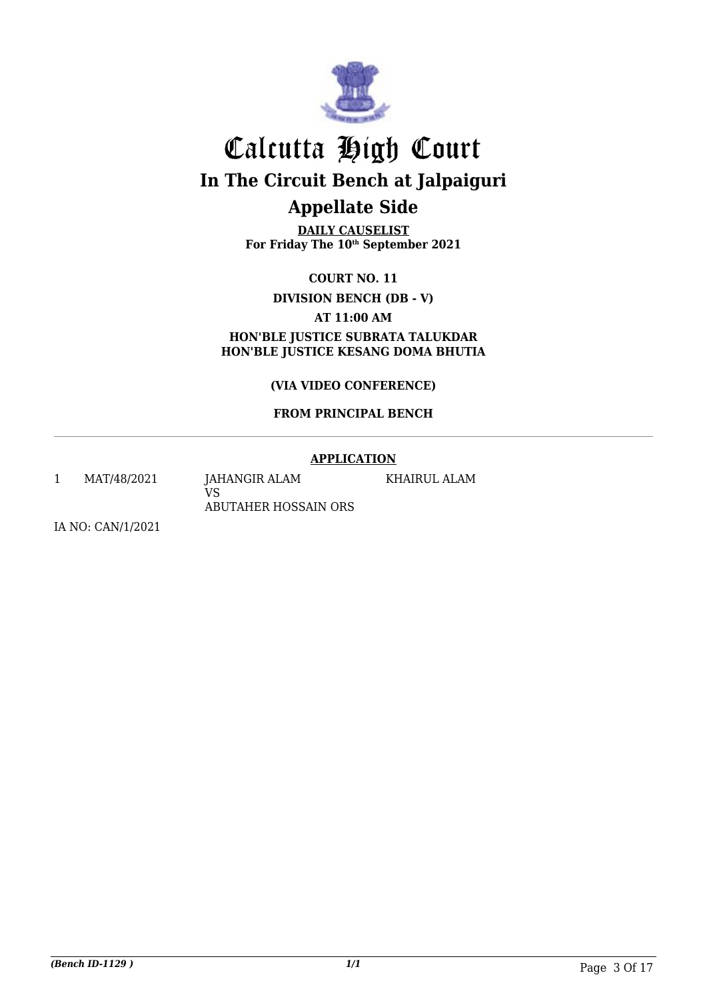

**DAILY CAUSELIST For Friday The 10th September 2021**

**COURT NO. 11**

**DIVISION BENCH (DB - V)**

**AT 11:00 AM**

**HON'BLE JUSTICE SUBRATA TALUKDAR HON'BLE JUSTICE KESANG DOMA BHUTIA**

**(VIA VIDEO CONFERENCE)**

#### **FROM PRINCIPAL BENCH**

#### **APPLICATION**

KHAIRUL ALAM

1 MAT/48/2021 JAHANGIR ALAM

VS ABUTAHER HOSSAIN ORS

IA NO: CAN/1/2021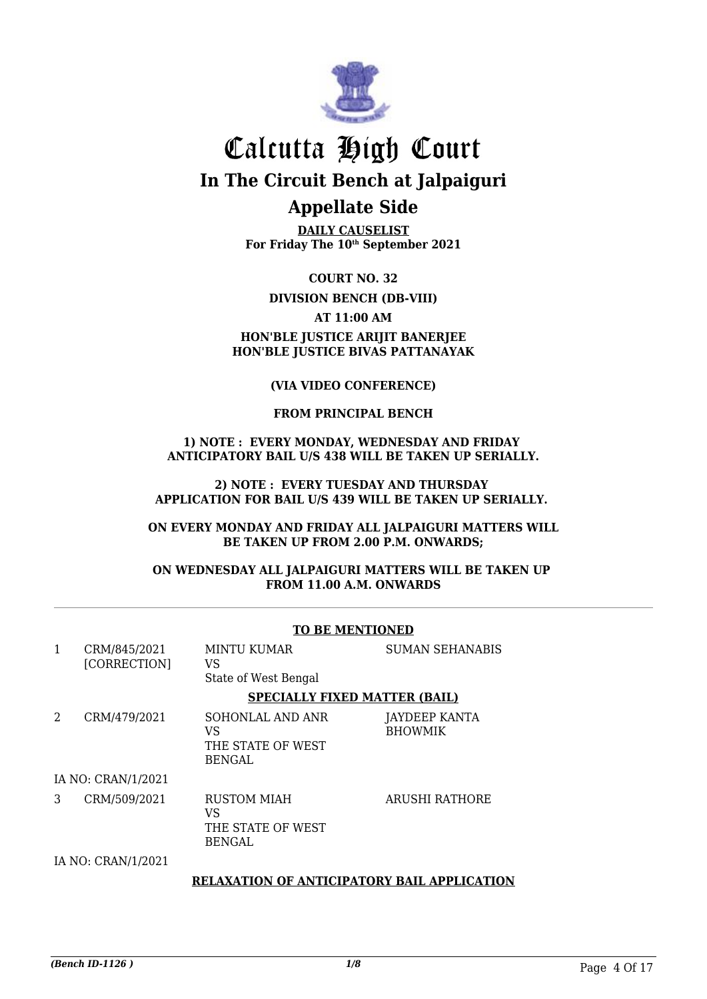

**DAILY CAUSELIST For Friday The 10th September 2021**

**COURT NO. 32**

**DIVISION BENCH (DB-VIII)**

**AT 11:00 AM**

#### **HON'BLE JUSTICE ARIJIT BANERJEE HON'BLE JUSTICE BIVAS PATTANAYAK**

#### **(VIA VIDEO CONFERENCE)**

#### **FROM PRINCIPAL BENCH**

#### **1) NOTE : EVERY MONDAY, WEDNESDAY AND FRIDAY ANTICIPATORY BAIL U/S 438 WILL BE TAKEN UP SERIALLY.**

#### **2) NOTE : EVERY TUESDAY AND THURSDAY APPLICATION FOR BAIL U/S 439 WILL BE TAKEN UP SERIALLY.**

#### **ON EVERY MONDAY AND FRIDAY ALL JALPAIGURI MATTERS WILL BE TAKEN UP FROM 2.00 P.M. ONWARDS;**

#### **ON WEDNESDAY ALL JALPAIGURI MATTERS WILL BE TAKEN UP FROM 11.00 A.M. ONWARDS**

|              |                              | TO DE MENTIONED                                               |                                 |  |  |
|--------------|------------------------------|---------------------------------------------------------------|---------------------------------|--|--|
| $\mathbf{1}$ | CRM/845/2021<br>[CORRECTION] | <b>MINTU KUMAR</b><br>VS<br>State of West Bengal              | <b>SUMAN SEHANABIS</b>          |  |  |
|              |                              | <b>SPECIALLY FIXED MATTER (BAIL)</b>                          |                                 |  |  |
| 2            | CRM/479/2021                 | SOHONLAL AND ANR<br>VS.<br>THE STATE OF WEST<br><b>BENGAL</b> | JAYDEEP KANTA<br><b>BHOWMIK</b> |  |  |
|              | IA NO: CRAN/1/2021           |                                                               |                                 |  |  |
| 3            | CRM/509/2021                 | RUSTOM MIAH<br>VS.<br>THE STATE OF WEST<br><b>BENGAL</b>      | ARUSHI RATHORE                  |  |  |
|              | IA NO: CRAN/1/2021           |                                                               |                                 |  |  |
|              |                              | <b>RELAXATION OF ANTICIPATORY BAIL APPLICATION</b>            |                                 |  |  |

#### **TO BE MENTIONED**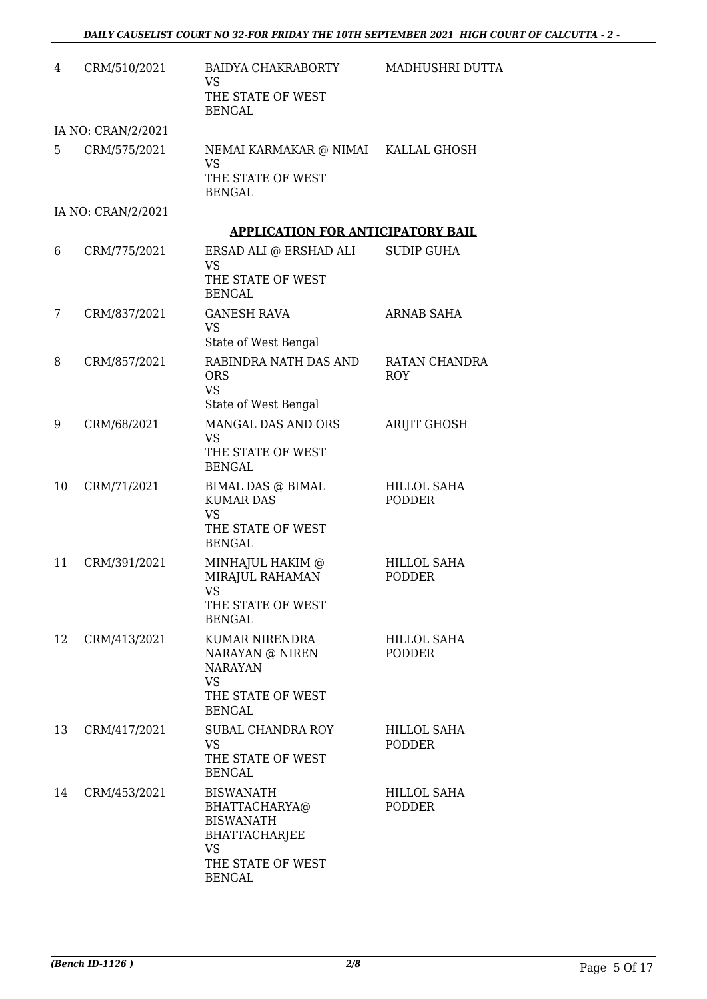| 4  | CRM/510/2021       | BAIDYA CHAKRABORTY<br><b>VS</b><br>THE STATE OF WEST<br><b>BENGAL</b>                                                            | MADHUSHRI DUTTA                     |
|----|--------------------|----------------------------------------------------------------------------------------------------------------------------------|-------------------------------------|
|    | IA NO: CRAN/2/2021 |                                                                                                                                  |                                     |
| 5  | CRM/575/2021       | NEMAI KARMAKAR @ NIMAI KALLAL GHOSH<br><b>VS</b><br>THE STATE OF WEST<br><b>BENGAL</b>                                           |                                     |
|    | IA NO: CRAN/2/2021 |                                                                                                                                  |                                     |
|    |                    | <b>APPLICATION FOR ANTICIPATORY BAIL</b>                                                                                         |                                     |
| 6  | CRM/775/2021       | ERSAD ALI @ ERSHAD ALI<br><b>VS</b><br>THE STATE OF WEST<br><b>BENGAL</b>                                                        | <b>SUDIP GUHA</b>                   |
| 7  | CRM/837/2021       | <b>GANESH RAVA</b><br><b>VS</b><br>State of West Bengal                                                                          | <b>ARNAB SAHA</b>                   |
| 8  | CRM/857/2021       | RABINDRA NATH DAS AND<br><b>ORS</b><br><b>VS</b><br>State of West Bengal                                                         | RATAN CHANDRA<br><b>ROY</b>         |
| 9  | CRM/68/2021        | MANGAL DAS AND ORS<br><b>VS</b><br>THE STATE OF WEST<br><b>BENGAL</b>                                                            | <b>ARIJIT GHOSH</b>                 |
| 10 | CRM/71/2021        | <b>BIMAL DAS @ BIMAL</b><br><b>KUMAR DAS</b><br><b>VS</b><br>THE STATE OF WEST<br><b>BENGAL</b>                                  | <b>HILLOL SAHA</b><br><b>PODDER</b> |
| 11 | CRM/391/2021       | MINHAJUL HAKIM @<br>MIRAJUL RAHAMAN<br>VS<br>THE STATE OF WEST<br><b>BENGAL</b>                                                  | <b>HILLOL SAHA</b><br><b>PODDER</b> |
| 12 | CRM/413/2021       | KUMAR NIRENDRA<br>NARAYAN @ NIREN<br><b>NARAYAN</b><br>VS.<br>THE STATE OF WEST<br><b>BENGAL</b>                                 | <b>HILLOL SAHA</b><br><b>PODDER</b> |
| 13 | CRM/417/2021       | <b>SUBAL CHANDRA ROY</b><br><b>VS</b><br>THE STATE OF WEST<br><b>BENGAL</b>                                                      | <b>HILLOL SAHA</b><br><b>PODDER</b> |
| 14 | CRM/453/2021       | <b>BISWANATH</b><br>BHATTACHARYA@<br><b>BISWANATH</b><br><b>BHATTACHARJEE</b><br><b>VS</b><br>THE STATE OF WEST<br><b>BENGAL</b> | HILLOL SAHA<br><b>PODDER</b>        |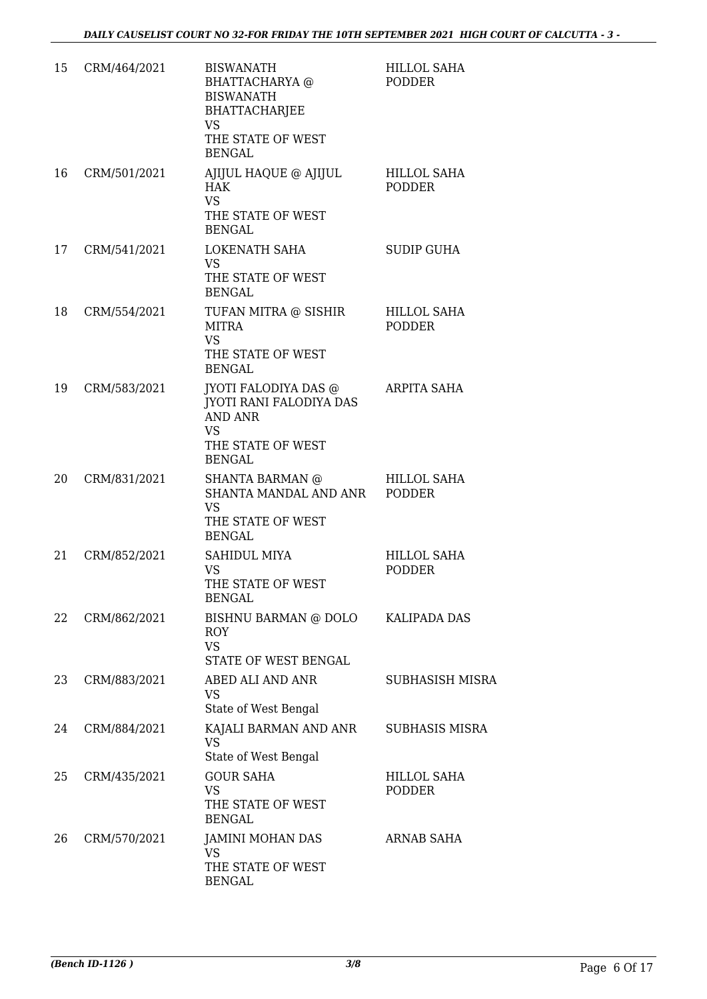| 15 | CRM/464/2021 | <b>BISWANATH</b><br><b>BHATTACHARYA</b> @<br><b>BISWANATH</b><br>BHATTACHARJEE<br><b>VS</b><br>THE STATE OF WEST<br><b>BENGAL</b> | <b>HILLOL SAHA</b><br><b>PODDER</b> |
|----|--------------|-----------------------------------------------------------------------------------------------------------------------------------|-------------------------------------|
| 16 | CRM/501/2021 | AJIJUL HAQUE @ AJIJUL<br><b>HAK</b><br>VS.<br>THE STATE OF WEST<br><b>BENGAL</b>                                                  | <b>HILLOL SAHA</b><br><b>PODDER</b> |
| 17 | CRM/541/2021 | LOKENATH SAHA<br>VS.<br>THE STATE OF WEST<br><b>BENGAL</b>                                                                        | <b>SUDIP GUHA</b>                   |
| 18 | CRM/554/2021 | TUFAN MITRA @ SISHIR<br>MITRA<br><b>VS</b><br>THE STATE OF WEST<br><b>BENGAL</b>                                                  | HILLOL SAHA<br><b>PODDER</b>        |
| 19 | CRM/583/2021 | JYOTI FALODIYA DAS @<br>JYOTI RANI FALODIYA DAS<br><b>AND ANR</b><br><b>VS</b><br>THE STATE OF WEST<br><b>BENGAL</b>              | <b>ARPITA SAHA</b>                  |
| 20 | CRM/831/2021 | <b>SHANTA BARMAN</b> @<br>SHANTA MANDAL AND ANR<br>VS.<br>THE STATE OF WEST<br><b>BENGAL</b>                                      | HILLOL SAHA<br><b>PODDER</b>        |
| 21 | CRM/852/2021 | <b>SAHIDUL MIYA</b><br><b>VS</b><br>THE STATE OF WEST<br><b>BENGAL</b>                                                            | <b>HILLOL SAHA</b><br><b>PODDER</b> |
| 22 | CRM/862/2021 | BISHNU BARMAN @ DOLO<br><b>ROY</b><br><b>VS</b><br>STATE OF WEST BENGAL                                                           | KALIPADA DAS                        |
| 23 | CRM/883/2021 | ABED ALI AND ANR<br><b>VS</b><br>State of West Bengal                                                                             | <b>SUBHASISH MISRA</b>              |
| 24 | CRM/884/2021 | KAJALI BARMAN AND ANR<br><b>VS</b><br>State of West Bengal                                                                        | <b>SUBHASIS MISRA</b>               |
| 25 | CRM/435/2021 | <b>GOUR SAHA</b><br><b>VS</b><br>THE STATE OF WEST<br><b>BENGAL</b>                                                               | <b>HILLOL SAHA</b><br><b>PODDER</b> |
| 26 | CRM/570/2021 | JAMINI MOHAN DAS<br><b>VS</b><br>THE STATE OF WEST<br><b>BENGAL</b>                                                               | <b>ARNAB SAHA</b>                   |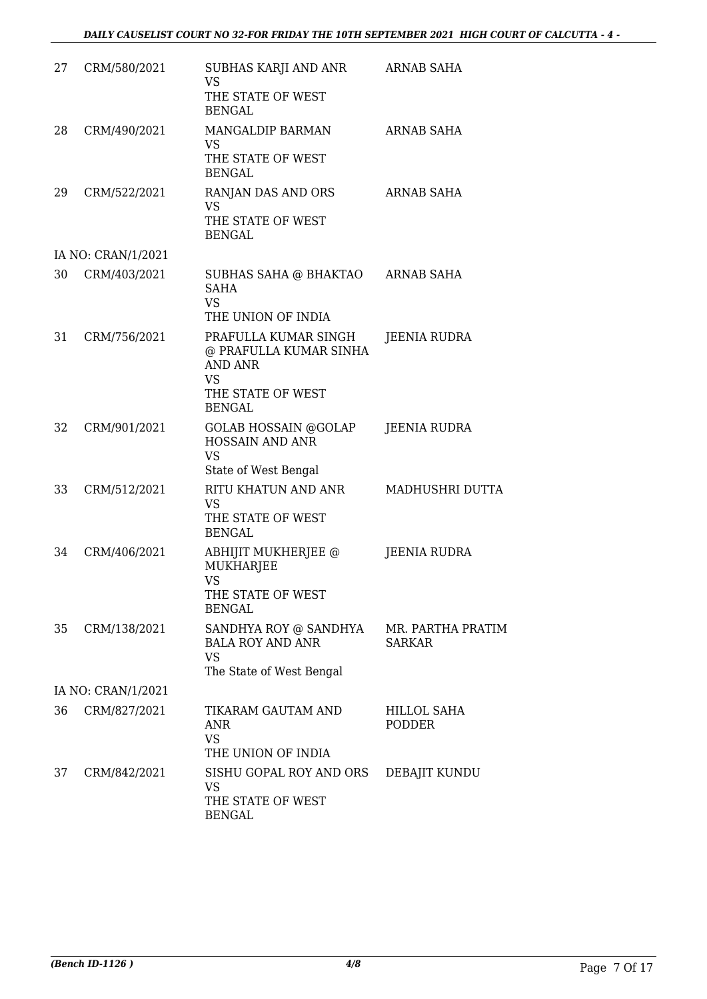| 27 | CRM/580/2021       | SUBHAS KARJI AND ANR<br><b>VS</b><br>THE STATE OF WEST<br><b>BENGAL</b>                                             | <b>ARNAB SAHA</b>                   |
|----|--------------------|---------------------------------------------------------------------------------------------------------------------|-------------------------------------|
| 28 | CRM/490/2021       | MANGALDIP BARMAN<br><b>VS</b><br>THE STATE OF WEST<br><b>BENGAL</b>                                                 | <b>ARNAB SAHA</b>                   |
| 29 | CRM/522/2021       | RANJAN DAS AND ORS<br>VS<br>THE STATE OF WEST<br><b>BENGAL</b>                                                      | <b>ARNAB SAHA</b>                   |
|    | IA NO: CRAN/1/2021 |                                                                                                                     |                                     |
| 30 | CRM/403/2021       | SUBHAS SAHA @ BHAKTAO<br><b>SAHA</b><br><b>VS</b><br>THE UNION OF INDIA                                             | ARNAB SAHA                          |
| 31 | CRM/756/2021       | PRAFULLA KUMAR SINGH<br>@ PRAFULLA KUMAR SINHA<br><b>AND ANR</b><br><b>VS</b><br>THE STATE OF WEST<br><b>BENGAL</b> | JEENIA RUDRA                        |
| 32 | CRM/901/2021       | <b>GOLAB HOSSAIN @GOLAP</b><br>HOSSAIN AND ANR<br><b>VS</b><br>State of West Bengal                                 | <b>JEENIA RUDRA</b>                 |
| 33 | CRM/512/2021       | RITU KHATUN AND ANR<br><b>VS</b><br>THE STATE OF WEST<br><b>BENGAL</b>                                              | MADHUSHRI DUTTA                     |
| 34 | CRM/406/2021       | ABHIJIT MUKHERJEE @<br><b>MUKHARJEE</b><br><b>VS</b><br>THE STATE OF WEST<br><b>BENGAL</b>                          | <b>JEENIA RUDRA</b>                 |
| 35 | CRM/138/2021       | SANDHYA ROY @ SANDHYA<br><b>BALA ROY AND ANR</b><br><b>VS</b><br>The State of West Bengal                           | MR. PARTHA PRATIM<br><b>SARKAR</b>  |
|    | IA NO: CRAN/1/2021 |                                                                                                                     |                                     |
| 36 | CRM/827/2021       | TIKARAM GAUTAM AND<br><b>ANR</b><br><b>VS</b><br>THE UNION OF INDIA                                                 | <b>HILLOL SAHA</b><br><b>PODDER</b> |
| 37 | CRM/842/2021       | SISHU GOPAL ROY AND ORS<br><b>VS</b><br>THE STATE OF WEST<br><b>BENGAL</b>                                          | DEBAJIT KUNDU                       |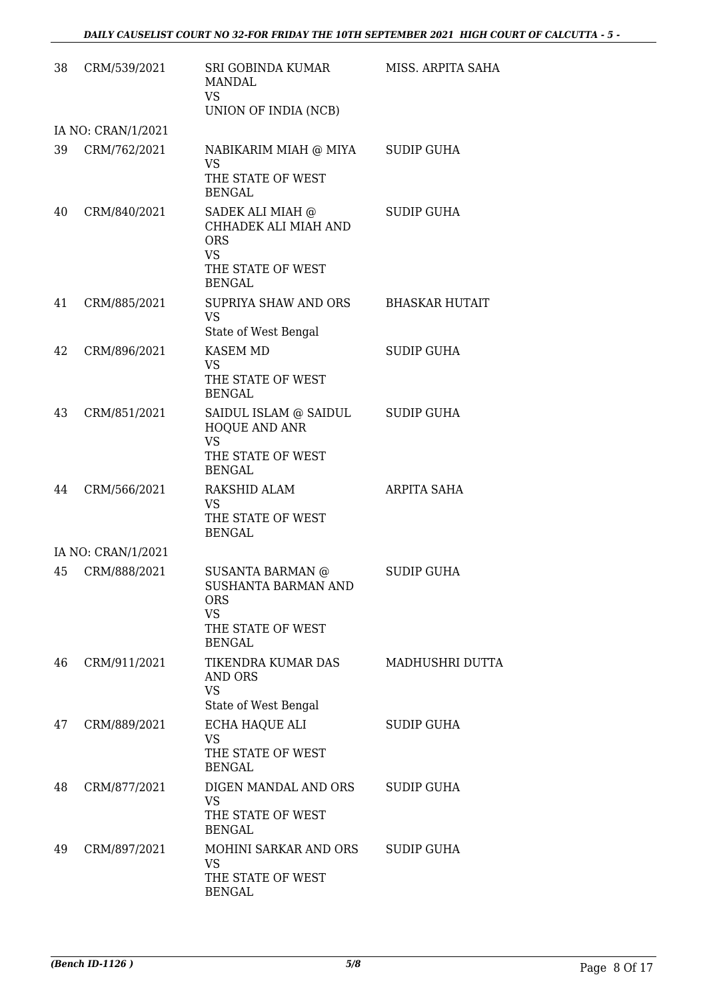| 38 | CRM/539/2021       | SRI GOBINDA KUMAR<br><b>MANDAL</b><br><b>VS</b><br>UNION OF INDIA (NCB)                                         | MISS. ARPITA SAHA     |
|----|--------------------|-----------------------------------------------------------------------------------------------------------------|-----------------------|
|    | IA NO: CRAN/1/2021 |                                                                                                                 |                       |
| 39 | CRM/762/2021       | NABIKARIM MIAH @ MIYA<br>VS<br>THE STATE OF WEST<br><b>BENGAL</b>                                               | <b>SUDIP GUHA</b>     |
| 40 | CRM/840/2021       | SADEK ALI MIAH @<br>CHHADEK ALI MIAH AND<br><b>ORS</b><br><b>VS</b><br>THE STATE OF WEST<br><b>BENGAL</b>       | <b>SUDIP GUHA</b>     |
| 41 | CRM/885/2021       | <b>SUPRIYA SHAW AND ORS</b><br><b>VS</b><br>State of West Bengal                                                | <b>BHASKAR HUTAIT</b> |
| 42 | CRM/896/2021       | <b>KASEM MD</b><br><b>VS</b><br>THE STATE OF WEST<br><b>BENGAL</b>                                              | <b>SUDIP GUHA</b>     |
| 43 | CRM/851/2021       | SAIDUL ISLAM @ SAIDUL<br>HOQUE AND ANR<br><b>VS</b><br>THE STATE OF WEST                                        | <b>SUDIP GUHA</b>     |
| 44 | CRM/566/2021       | <b>BENGAL</b><br><b>RAKSHID ALAM</b><br>VS<br>THE STATE OF WEST<br><b>BENGAL</b>                                | ARPITA SAHA           |
|    | IA NO: CRAN/1/2021 |                                                                                                                 |                       |
| 45 | CRM/888/2021       | <b>SUSANTA BARMAN @</b><br>SUSHANTA BARMAN AND<br><b>ORS</b><br><b>VS</b><br>THE STATE OF WEST<br><b>BENGAL</b> | SUDIP GUHA            |
| 46 | CRM/911/2021       | TIKENDRA KUMAR DAS<br>AND ORS<br><b>VS</b><br>State of West Bengal                                              | MADHUSHRI DUTTA       |
| 47 | CRM/889/2021       | ECHA HAQUE ALI<br><b>VS</b><br>THE STATE OF WEST<br><b>BENGAL</b>                                               | <b>SUDIP GUHA</b>     |
| 48 | CRM/877/2021       | DIGEN MANDAL AND ORS<br><b>VS</b><br>THE STATE OF WEST<br><b>BENGAL</b>                                         | SUDIP GUHA            |
| 49 | CRM/897/2021       | MOHINI SARKAR AND ORS<br><b>VS</b><br>THE STATE OF WEST<br><b>BENGAL</b>                                        | <b>SUDIP GUHA</b>     |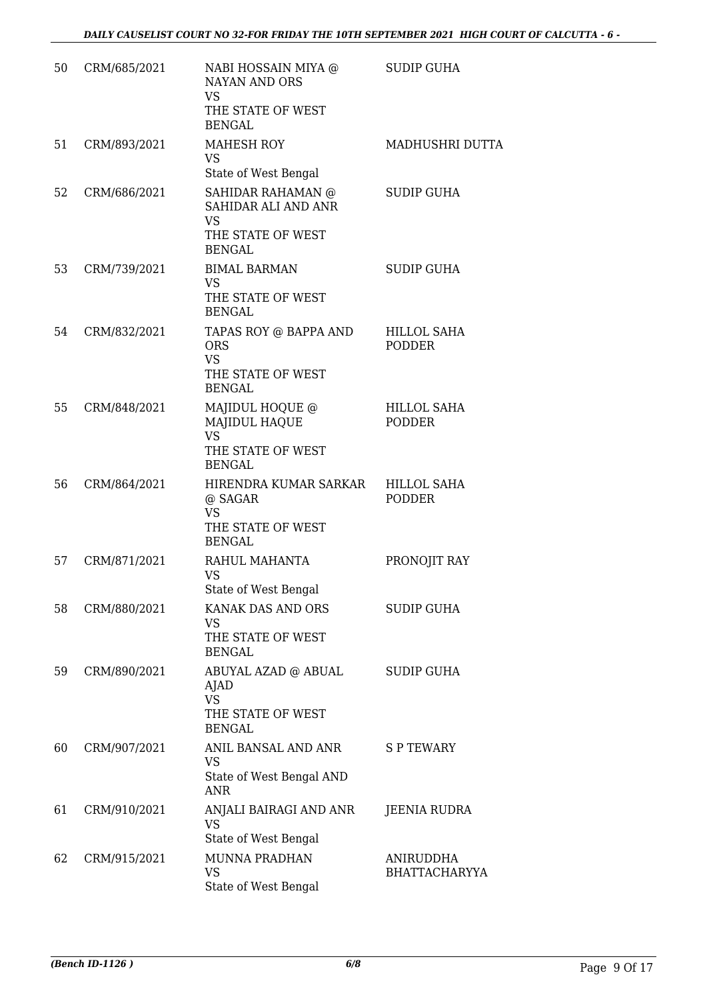| 50 | CRM/685/2021 | NABI HOSSAIN MIYA @<br><b>NAYAN AND ORS</b><br><b>VS</b><br>THE STATE OF WEST<br><b>BENGAL</b> | <b>SUDIP GUHA</b>                   |
|----|--------------|------------------------------------------------------------------------------------------------|-------------------------------------|
| 51 | CRM/893/2021 | <b>MAHESH ROY</b><br><b>VS</b><br>State of West Bengal                                         | MADHUSHRI DUTTA                     |
| 52 | CRM/686/2021 | SAHIDAR RAHAMAN @<br>SAHIDAR ALI AND ANR<br><b>VS</b><br>THE STATE OF WEST<br><b>BENGAL</b>    | <b>SUDIP GUHA</b>                   |
| 53 | CRM/739/2021 | <b>BIMAL BARMAN</b><br><b>VS</b><br>THE STATE OF WEST<br><b>BENGAL</b>                         | <b>SUDIP GUHA</b>                   |
| 54 | CRM/832/2021 | TAPAS ROY @ BAPPA AND<br><b>ORS</b><br><b>VS</b><br>THE STATE OF WEST<br><b>BENGAL</b>         | HILLOL SAHA<br><b>PODDER</b>        |
| 55 | CRM/848/2021 | MAJIDUL HOQUE @<br><b>MAJIDUL HAQUE</b><br><b>VS</b><br>THE STATE OF WEST<br><b>BENGAL</b>     | <b>HILLOL SAHA</b><br><b>PODDER</b> |
| 56 | CRM/864/2021 | HIRENDRA KUMAR SARKAR<br>@ SAGAR<br><b>VS</b><br>THE STATE OF WEST<br><b>BENGAL</b>            | <b>HILLOL SAHA</b><br><b>PODDER</b> |
| 57 | CRM/871/2021 | RAHUL MAHANTA<br>VS<br>State of West Bengal                                                    | PRONOJIT RAY                        |
| 58 | CRM/880/2021 | KANAK DAS AND ORS<br><b>VS</b><br>THE STATE OF WEST<br><b>BENGAL</b>                           | <b>SUDIP GUHA</b>                   |
| 59 | CRM/890/2021 | ABUYAL AZAD @ ABUAL<br>AJAD<br><b>VS</b><br>THE STATE OF WEST<br><b>BENGAL</b>                 | <b>SUDIP GUHA</b>                   |
| 60 | CRM/907/2021 | ANIL BANSAL AND ANR<br>VS<br>State of West Bengal AND<br><b>ANR</b>                            | S P TEWARY                          |
| 61 | CRM/910/2021 | ANJALI BAIRAGI AND ANR<br><b>VS</b><br>State of West Bengal                                    | JEENIA RUDRA                        |
| 62 | CRM/915/2021 | <b>MUNNA PRADHAN</b><br><b>VS</b><br>State of West Bengal                                      | ANIRUDDHA<br><b>BHATTACHARYYA</b>   |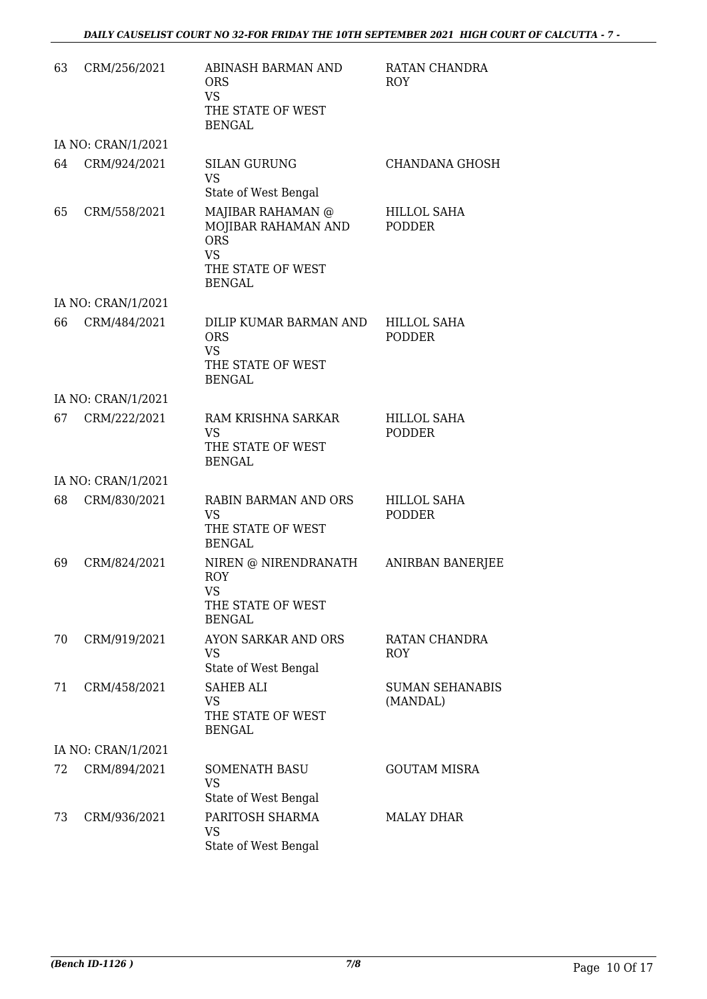| 63 | CRM/256/2021       | ABINASH BARMAN AND<br><b>ORS</b><br><b>VS</b><br>THE STATE OF WEST<br><b>BENGAL</b>                       | RATAN CHANDRA<br><b>ROY</b>         |
|----|--------------------|-----------------------------------------------------------------------------------------------------------|-------------------------------------|
|    | IA NO: CRAN/1/2021 |                                                                                                           |                                     |
| 64 | CRM/924/2021       | <b>SILAN GURUNG</b><br><b>VS</b><br>State of West Bengal                                                  | CHANDANA GHOSH                      |
| 65 | CRM/558/2021       | MAJIBAR RAHAMAN @<br>MOJIBAR RAHAMAN AND<br><b>ORS</b><br><b>VS</b><br>THE STATE OF WEST<br><b>BENGAL</b> | HILLOL SAHA<br><b>PODDER</b>        |
|    | IA NO: CRAN/1/2021 |                                                                                                           |                                     |
| 66 | CRM/484/2021       | DILIP KUMAR BARMAN AND<br><b>ORS</b><br><b>VS</b><br>THE STATE OF WEST<br><b>BENGAL</b>                   | <b>HILLOL SAHA</b><br><b>PODDER</b> |
|    | IA NO: CRAN/1/2021 |                                                                                                           |                                     |
| 67 | CRM/222/2021       | RAM KRISHNA SARKAR<br><b>VS</b><br>THE STATE OF WEST<br><b>BENGAL</b>                                     | HILLOL SAHA<br><b>PODDER</b>        |
|    | IA NO: CRAN/1/2021 |                                                                                                           |                                     |
| 68 | CRM/830/2021       | <b>RABIN BARMAN AND ORS</b><br>VS<br>THE STATE OF WEST<br><b>BENGAL</b>                                   | <b>HILLOL SAHA</b><br><b>PODDER</b> |
| 69 | CRM/824/2021       | NIREN @ NIRENDRANATH<br><b>ROY</b><br>VS<br>THE STATE OF WEST<br><b>BENGAL</b>                            | <b>ANIRBAN BANERJEE</b>             |
| 70 | CRM/919/2021       | AYON SARKAR AND ORS<br><b>VS</b><br>State of West Bengal                                                  | RATAN CHANDRA<br><b>ROY</b>         |
| 71 | CRM/458/2021       | <b>SAHEB ALI</b><br><b>VS</b><br>THE STATE OF WEST<br><b>BENGAL</b>                                       | <b>SUMAN SEHANABIS</b><br>(MANDAL)  |
|    | IA NO: CRAN/1/2021 |                                                                                                           |                                     |
| 72 | CRM/894/2021       | <b>SOMENATH BASU</b><br><b>VS</b><br>State of West Bengal                                                 | <b>GOUTAM MISRA</b>                 |
| 73 | CRM/936/2021       | PARITOSH SHARMA<br><b>VS</b><br>State of West Bengal                                                      | <b>MALAY DHAR</b>                   |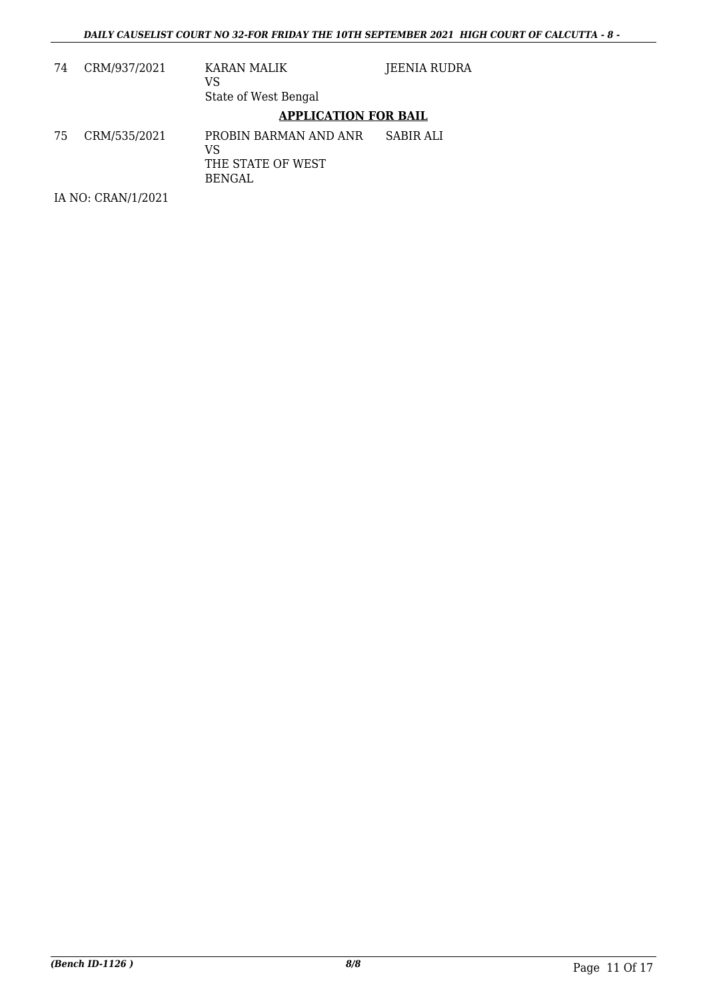| 74 | CRM/937/2021       | KARAN MALIK<br>VS<br>State of West Bengal                  | JEENIA RUDRA |
|----|--------------------|------------------------------------------------------------|--------------|
|    |                    | <b>APPLICATION FOR BAIL</b>                                |              |
| 75 | CRM/535/2021       | PROBIN BARMAN AND ANR<br>VS<br>THE STATE OF WEST<br>BENGAL | SABIR ALI    |
|    | IA NO: CRAN/1/2021 |                                                            |              |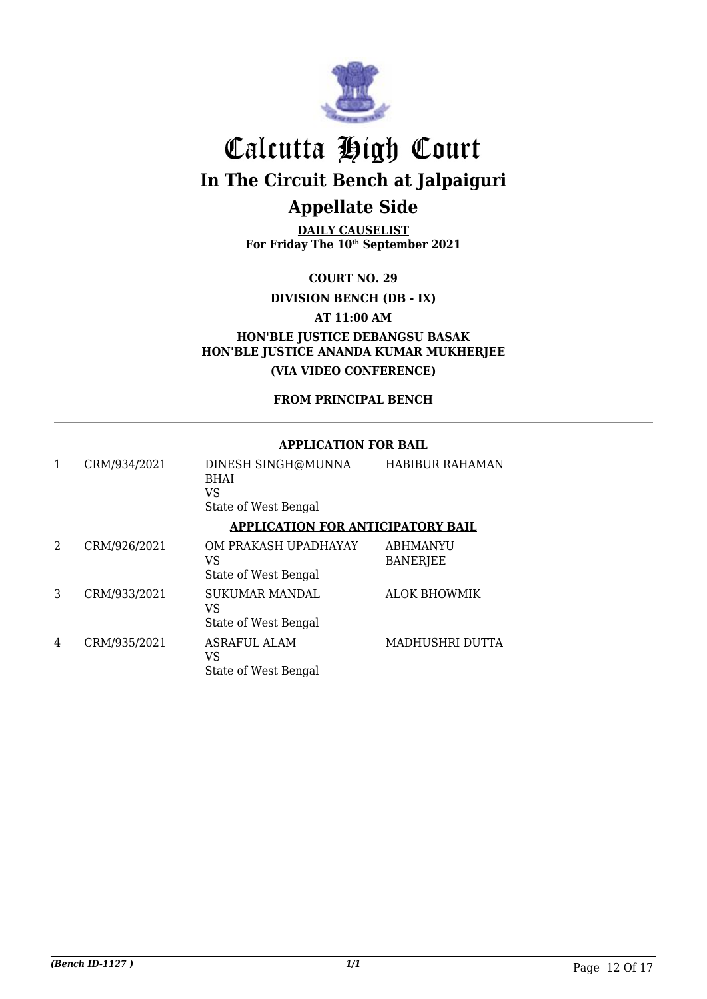

**DAILY CAUSELIST For Friday The 10th September 2021**

**COURT NO. 29**

**DIVISION BENCH (DB - IX)**

**AT 11:00 AM**

**HON'BLE JUSTICE DEBANGSU BASAK HON'BLE JUSTICE ANANDA KUMAR MUKHERJEE (VIA VIDEO CONFERENCE)**

**FROM PRINCIPAL BENCH**

#### **APPLICATION FOR BAIL**

|   | CRM/934/2021 | DINESH SINGH@MUNNA<br><b>BHAI</b><br>VS<br>State of West Bengal | <b>HABIBUR RAHAMAN</b>             |
|---|--------------|-----------------------------------------------------------------|------------------------------------|
|   |              | <b>APPLICATION FOR ANTICIPATORY BAIL</b>                        |                                    |
| 2 | CRM/926/2021 | OM PRAKASH UPADHAYAY<br>VS<br>State of West Bengal              | <b>ABHMANYU</b><br><b>BANERJEE</b> |
| 3 | CRM/933/2021 | <b>SUKUMAR MANDAL</b><br>VS<br>State of West Bengal             | <b>ALOK BHOWMIK</b>                |
| 4 | CRM/935/2021 | <b>ASRAFUL ALAM</b><br>VS<br>State of West Bengal               | MADHUSHRI DUTTA                    |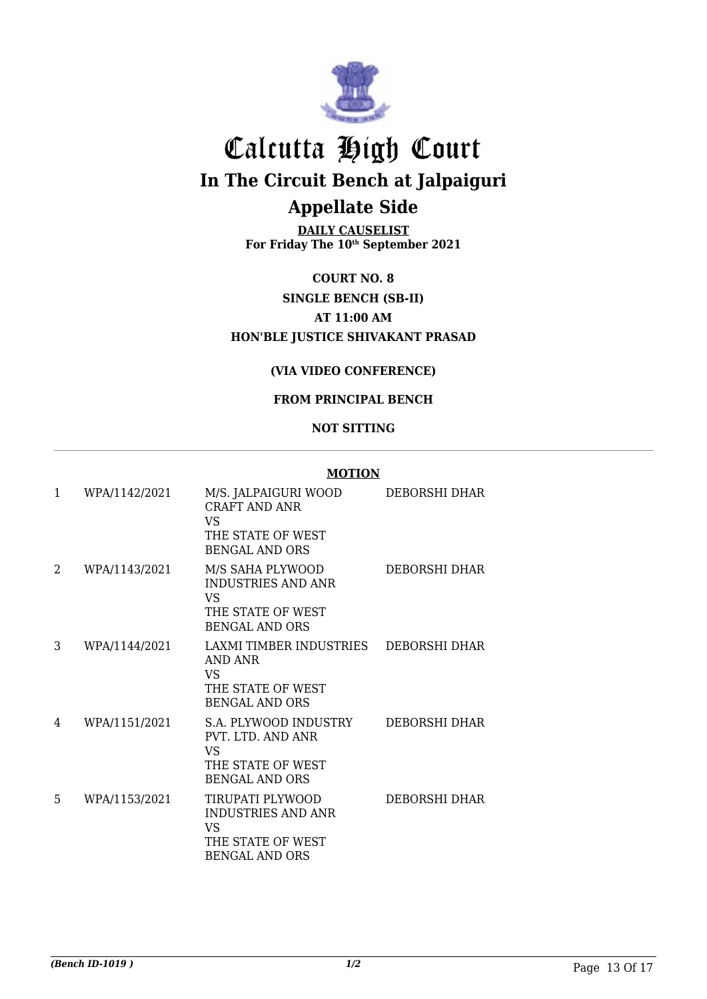

**DAILY CAUSELIST For Friday The 10th September 2021**

**COURT NO. 8 SINGLE BENCH (SB-II) AT 11:00 AM HON'BLE JUSTICE SHIVAKANT PRASAD**

#### **(VIA VIDEO CONFERENCE)**

#### **FROM PRINCIPAL BENCH**

#### **NOT SITTING**

| $\mathbf{1}$ | WPA/1142/2021 | M/S. JALPAIGURI WOOD<br>CRAFT AND ANR<br><b>VS</b><br>THE STATE OF WEST<br><b>BENGAL AND ORS</b>  | DEBORSHI DHAR |
|--------------|---------------|---------------------------------------------------------------------------------------------------|---------------|
| 2            | WPA/1143/2021 | M/S SAHA PLYWOOD<br><b>INDUSTRIES AND ANR</b><br>VS<br>THE STATE OF WEST<br><b>BENGAL AND ORS</b> | DEBORSHI DHAR |
| 3            | WPA/1144/2021 | LAXMI TIMBER INDUSTRIES<br>AND ANR<br>VS.<br>THE STATE OF WEST<br><b>BENGAL AND ORS</b>           | DEBORSHI DHAR |
| 4            | WPA/1151/2021 | S.A. PLYWOOD INDUSTRY<br>PVT. LTD. AND ANR<br>VS<br>THE STATE OF WEST<br><b>BENGAL AND ORS</b>    | DEBORSHI DHAR |
| 5            | WPA/1153/2021 | TIRUPATI PLYWOOD<br><b>INDUSTRIES AND ANR</b><br>VS<br>THE STATE OF WEST<br><b>BENGAL AND ORS</b> | DEBORSHI DHAR |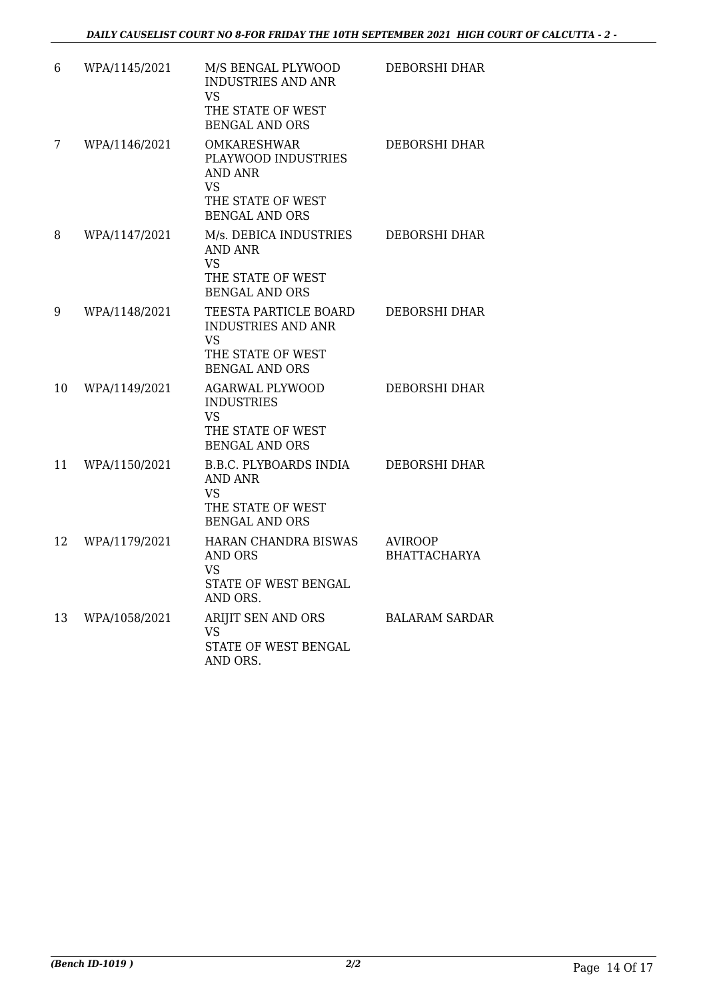| 6  | WPA/1145/2021 | M/S BENGAL PLYWOOD<br><b>INDUSTRIES AND ANR</b><br>VS<br>THE STATE OF WEST<br><b>BENGAL AND ORS</b>                    | DEBORSHI DHAR                         |
|----|---------------|------------------------------------------------------------------------------------------------------------------------|---------------------------------------|
| 7  | WPA/1146/2021 | <b>OMKARESHWAR</b><br>PLAYWOOD INDUSTRIES<br><b>AND ANR</b><br><b>VS</b><br>THE STATE OF WEST<br><b>BENGAL AND ORS</b> | DEBORSHI DHAR                         |
| 8  | WPA/1147/2021 | M/s. DEBICA INDUSTRIES<br>AND ANR<br><b>VS</b><br>THE STATE OF WEST<br><b>BENGAL AND ORS</b>                           | <b>DEBORSHI DHAR</b>                  |
| 9  | WPA/1148/2021 | TEESTA PARTICLE BOARD<br><b>INDUSTRIES AND ANR</b><br><b>VS</b><br>THE STATE OF WEST<br><b>BENGAL AND ORS</b>          | DEBORSHI DHAR                         |
| 10 | WPA/1149/2021 | <b>AGARWAL PLYWOOD</b><br><b>INDUSTRIES</b><br>VS<br>THE STATE OF WEST<br><b>BENGAL AND ORS</b>                        | <b>DEBORSHI DHAR</b>                  |
| 11 | WPA/1150/2021 | <b>B.B.C. PLYBOARDS INDIA</b><br><b>AND ANR</b><br><b>VS</b><br>THE STATE OF WEST<br><b>BENGAL AND ORS</b>             | DEBORSHI DHAR                         |
| 12 | WPA/1179/2021 | HARAN CHANDRA BISWAS<br>AND ORS<br>VS<br>STATE OF WEST BENGAL<br>AND ORS.                                              | <b>AVIROOP</b><br><b>BHATTACHARYA</b> |
| 13 | WPA/1058/2021 | ARIJIT SEN AND ORS<br><b>VS</b><br><b>STATE OF WEST BENGAL</b><br>AND ORS.                                             | <b>BALARAM SARDAR</b>                 |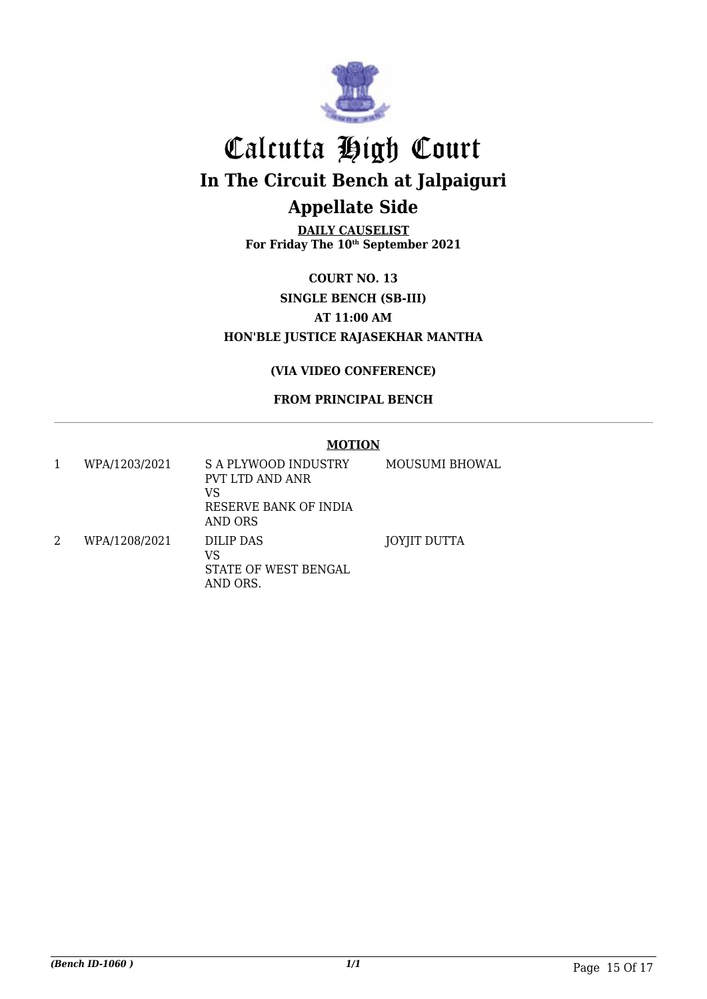

**DAILY CAUSELIST For Friday The 10th September 2021**

**COURT NO. 13 SINGLE BENCH (SB-III) AT 11:00 AM HON'BLE JUSTICE RAJASEKHAR MANTHA**

#### **(VIA VIDEO CONFERENCE)**

#### **FROM PRINCIPAL BENCH**

|   | WPA/1203/2021 | S A PLYWOOD INDUSTRY<br>PVT LTD AND ANR<br>VS<br>RESERVE BANK OF INDIA<br>AND ORS | MOUSUMI BHOWAL |
|---|---------------|-----------------------------------------------------------------------------------|----------------|
| 2 | WPA/1208/2021 | DILIP DAS<br>VS<br>STATE OF WEST BENGAL<br>AND ORS.                               | JOYJIT DUTTA   |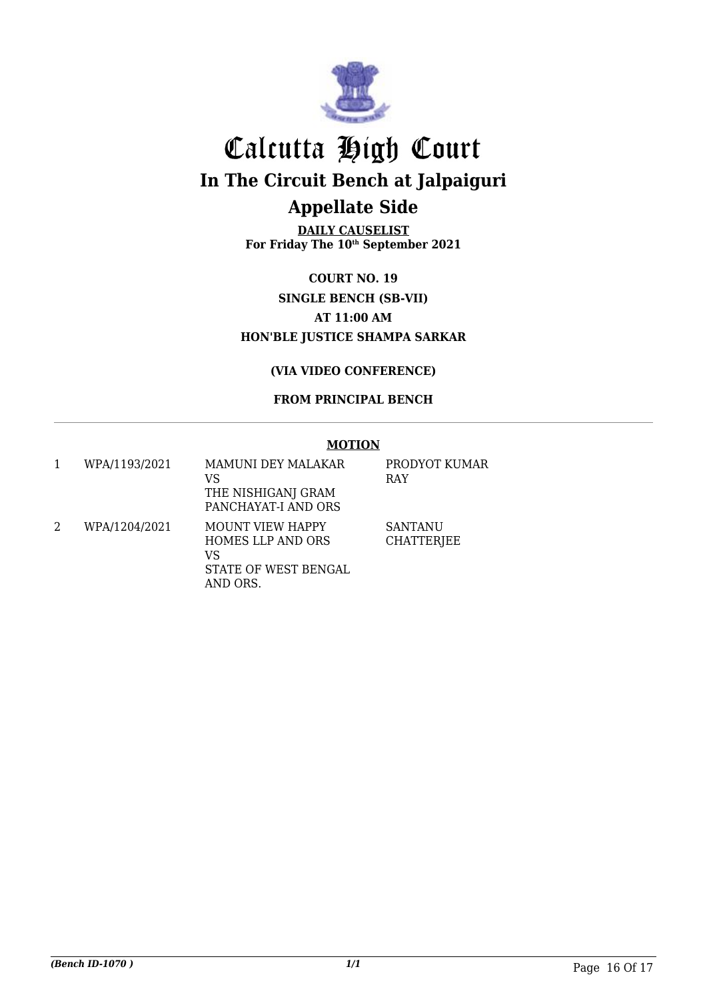

**DAILY CAUSELIST For Friday The 10th September 2021**

**COURT NO. 19 SINGLE BENCH (SB-VII) AT 11:00 AM HON'BLE JUSTICE SHAMPA SARKAR**

**(VIA VIDEO CONFERENCE)**

**FROM PRINCIPAL BENCH**

|   | WPA/1193/2021 | <b>MAMUNI DEY MALAKAR</b><br>VS<br>THE NISHIGANJ GRAM<br>PANCHAYAT-I AND ORS           | PRODYOT KUMAR<br><b>RAY</b>         |
|---|---------------|----------------------------------------------------------------------------------------|-------------------------------------|
| 2 | WPA/1204/2021 | <b>MOUNT VIEW HAPPY</b><br>HOMES LLP AND ORS<br>VS<br>STATE OF WEST BENGAL<br>AND ORS. | <b>SANTANU</b><br><b>CHATTERJEE</b> |